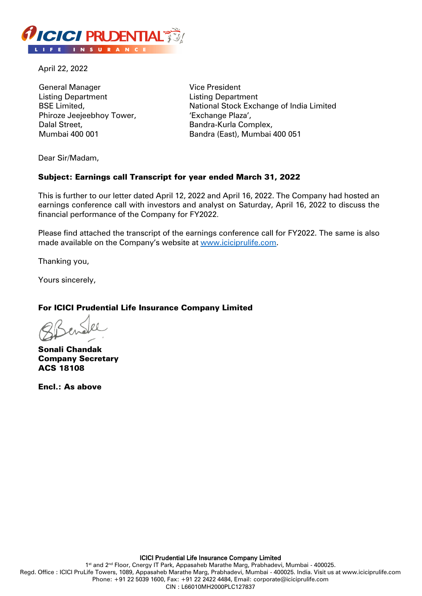

April 22, 2022

General Manager Listing Department BSE Limited, Phiroze Jeejeebhoy Tower, Dalal Street, Mumbai 400 001

Vice President Listing Department National Stock Exchange of India Limited 'Exchange Plaza', Bandra-Kurla Complex, Bandra (East), Mumbai 400 051

Dear Sir/Madam,

### Subject: Earnings call Transcript for year ended March 31, 2022

This is further to our letter dated April 12, 2022 and April 16, 2022. The Company had hosted an earnings conference call with investors and analyst on Saturday, April 16, 2022 to discuss the financial performance of the Company for FY2022.

Please find attached the transcript of the earnings conference call for FY2022. The same is also made available on the Company's website at [www.iciciprulife.com.](https://www.iciciprulife.com/about-us/investor-relations/financial-information.html?ID=about2)

Thanking you,

Yours sincerely,

### For ICICI Prudential Life Insurance Company Limited

Sonali Chandak Company Secretary ACS 18108

Encl.: As above

1<sup>st</sup> and 2<sup>nd</sup> Floor, Cnergy IT Park, Appasaheb Marathe Marg, Prabhadevi, Mumbai - 400025. Regd. Office : ICICI PruLife Towers, 1089, Appasaheb Marathe Marg, Prabhadevi, Mumbai - 400025. India. Visit us at www.iciciprulife.com Phone: +91 22 5039 1600, Fax: +91 22 2422 4484, Email: corporate@iciciprulife.com CIN : L66010MH2000PLC127837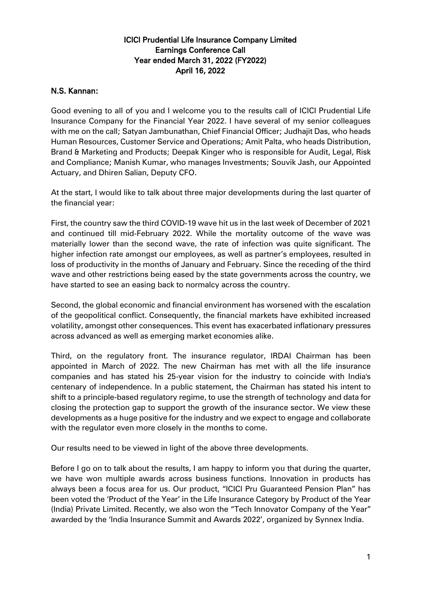# ICICI Prudential Life Insurance Company Limited Earnings Conference Call Year ended March 31, 2022 (FY2022) April 16, 2022

## N.S. Kannan:

Good evening to all of you and I welcome you to the results call of ICICI Prudential Life Insurance Company for the Financial Year 2022. I have several of my senior colleagues with me on the call; Satyan Jambunathan, Chief Financial Officer; Judhajit Das, who heads Human Resources, Customer Service and Operations; Amit Palta, who heads Distribution, Brand & Marketing and Products; Deepak Kinger who is responsible for Audit, Legal, Risk and Compliance; Manish Kumar, who manages Investments; Souvik Jash, our Appointed Actuary, and Dhiren Salian, Deputy CFO.

At the start, I would like to talk about three major developments during the last quarter of the financial year:

First, the country saw the third COVID-19 wave hit us in the last week of December of 2021 and continued till mid-February 2022. While the mortality outcome of the wave was materially lower than the second wave, the rate of infection was quite significant. The higher infection rate amongst our employees, as well as partner's employees, resulted in loss of productivity in the months of January and February. Since the receding of the third wave and other restrictions being eased by the state governments across the country, we have started to see an easing back to normalcy across the country.

Second, the global economic and financial environment has worsened with the escalation of the geopolitical conflict. Consequently, the financial markets have exhibited increased volatility, amongst other consequences. This event has exacerbated inflationary pressures across advanced as well as emerging market economies alike.

Third, on the regulatory front. The insurance regulator, IRDAI Chairman has been appointed in March of 2022. The new Chairman has met with all the life insurance companies and has stated his 25-year vision for the industry to coincide with India's centenary of independence. In a public statement, the Chairman has stated his intent to shift to a principle-based regulatory regime, to use the strength of technology and data for closing the protection gap to support the growth of the insurance sector. We view these developments as a huge positive for the industry and we expect to engage and collaborate with the regulator even more closely in the months to come.

Our results need to be viewed in light of the above three developments.

Before I go on to talk about the results, I am happy to inform you that during the quarter, we have won multiple awards across business functions. Innovation in products has always been a focus area for us. Our product, "ICICI Pru Guaranteed Pension Plan" has been voted the 'Product of the Year' in the Life Insurance Category by Product of the Year (India) Private Limited. Recently, we also won the "Tech Innovator Company of the Year" awarded by the 'India Insurance Summit and Awards 2022', organized by Synnex India.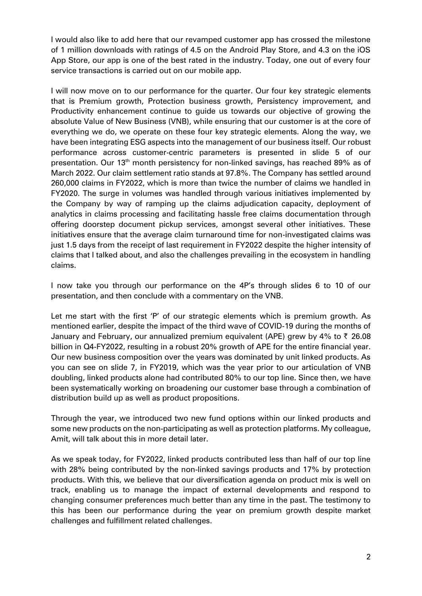I would also like to add here that our revamped customer app has crossed the milestone of 1 million downloads with ratings of 4.5 on the Android Play Store, and 4.3 on the iOS App Store, our app is one of the best rated in the industry. Today, one out of every four service transactions is carried out on our mobile app.

I will now move on to our performance for the quarter. Our four key strategic elements that is Premium growth, Protection business growth, Persistency improvement, and Productivity enhancement continue to guide us towards our objective of growing the absolute Value of New Business (VNB), while ensuring that our customer is at the core of everything we do, we operate on these four key strategic elements. Along the way, we have been integrating ESG aspects into the management of our business itself. Our robust performance across customer-centric parameters is presented in slide 5 of our presentation. Our 13<sup>th</sup> month persistency for non-linked savings, has reached 89% as of March 2022. Our claim settlement ratio stands at 97.8%. The Company has settled around 260,000 claims in FY2022, which is more than twice the number of claims we handled in FY2020. The surge in volumes was handled through various initiatives implemented by the Company by way of ramping up the claims adjudication capacity, deployment of analytics in claims processing and facilitating hassle free claims documentation through offering doorstep document pickup services, amongst several other initiatives. These initiatives ensure that the average claim turnaround time for non-investigated claims was just 1.5 days from the receipt of last requirement in FY2022 despite the higher intensity of claims that I talked about, and also the challenges prevailing in the ecosystem in handling claims.

I now take you through our performance on the 4P's through slides 6 to 10 of our presentation, and then conclude with a commentary on the VNB.

Let me start with the first 'P' of our strategic elements which is premium growth. As mentioned earlier, despite the impact of the third wave of COVID-19 during the months of January and February, our annualized premium equivalent (APE) grew by 4% to  $\bar{\tau}$  26.08 billion in Q4-FY2022, resulting in a robust 20% growth of APE for the entire financial year. Our new business composition over the years was dominated by unit linked products. As you can see on slide 7, in FY2019, which was the year prior to our articulation of VNB doubling, linked products alone had contributed 80% to our top line. Since then, we have been systematically working on broadening our customer base through a combination of distribution build up as well as product propositions.

Through the year, we introduced two new fund options within our linked products and some new products on the non-participating as well as protection platforms. My colleague, Amit, will talk about this in more detail later.

As we speak today, for FY2022, linked products contributed less than half of our top line with 28% being contributed by the non-linked savings products and 17% by protection products. With this, we believe that our diversification agenda on product mix is well on track, enabling us to manage the impact of external developments and respond to changing consumer preferences much better than any time in the past. The testimony to this has been our performance during the year on premium growth despite market challenges and fulfillment related challenges.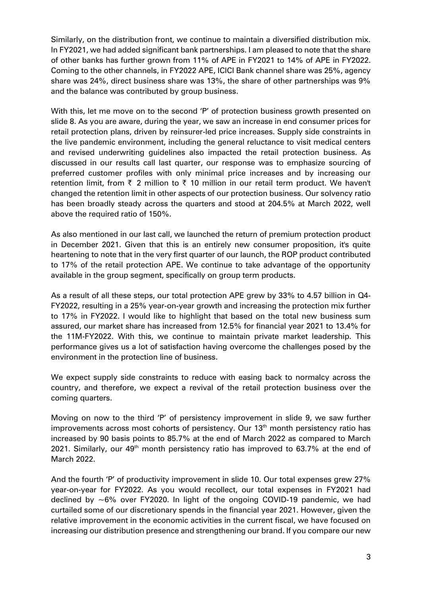Similarly, on the distribution front, we continue to maintain a diversified distribution mix. In FY2021, we had added significant bank partnerships. I am pleased to note that the share of other banks has further grown from 11% of APE in FY2021 to 14% of APE in FY2022. Coming to the other channels, in FY2022 APE, ICICI Bank channel share was 25%, agency share was 24%, direct business share was 13%, the share of other partnerships was 9% and the balance was contributed by group business.

With this, let me move on to the second 'P' of protection business growth presented on slide 8. As you are aware, during the year, we saw an increase in end consumer prices for retail protection plans, driven by reinsurer-led price increases. Supply side constraints in the live pandemic environment, including the general reluctance to visit medical centers and revised underwriting guidelines also impacted the retail protection business. As discussed in our results call last quarter, our response was to emphasize sourcing of preferred customer profiles with only minimal price increases and by increasing our retention limit, from  $\bar{\tau}$  2 million to  $\bar{\tau}$  10 million in our retail term product. We haven't changed the retention limit in other aspects of our protection business. Our solvency ratio has been broadly steady across the quarters and stood at 204.5% at March 2022, well above the required ratio of 150%.

As also mentioned in our last call, we launched the return of premium protection product in December 2021. Given that this is an entirely new consumer proposition, it's quite heartening to note that in the very first quarter of our launch, the ROP product contributed to 17% of the retail protection APE. We continue to take advantage of the opportunity available in the group segment, specifically on group term products.

As a result of all these steps, our total protection APE grew by 33% to 4.57 billion in Q4- FY2022, resulting in a 25% year-on-year growth and increasing the protection mix further to 17% in FY2022. I would like to highlight that based on the total new business sum assured, our market share has increased from 12.5% for financial year 2021 to 13.4% for the 11M-FY2022. With this, we continue to maintain private market leadership. This performance gives us a lot of satisfaction having overcome the challenges posed by the environment in the protection line of business.

We expect supply side constraints to reduce with easing back to normalcy across the country, and therefore, we expect a revival of the retail protection business over the coming quarters.

Moving on now to the third 'P' of persistency improvement in slide 9, we saw further improvements across most cohorts of persistency. Our 13<sup>th</sup> month persistency ratio has increased by 90 basis points to 85.7% at the end of March 2022 as compared to March 2021. Similarly, our  $49<sup>th</sup>$  month persistency ratio has improved to 63.7% at the end of March 2022.

And the fourth 'P' of productivity improvement in slide 10. Our total expenses grew 27% year-on-year for FY2022. As you would recollect, our total expenses in FY2021 had declined by  $\sim6\%$  over FY2020. In light of the ongoing COVID-19 pandemic, we had curtailed some of our discretionary spends in the financial year 2021. However, given the relative improvement in the economic activities in the current fiscal, we have focused on increasing our distribution presence and strengthening our brand. If you compare our new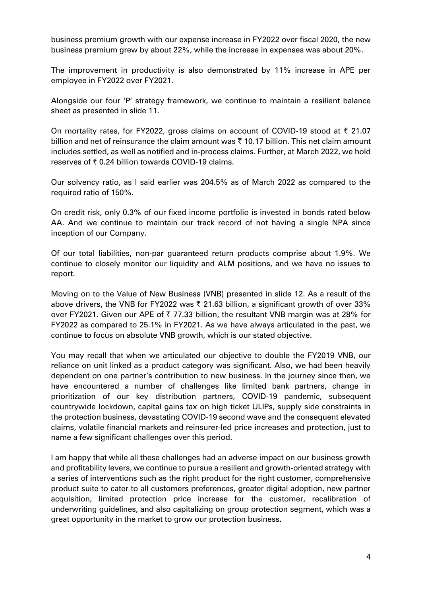business premium growth with our expense increase in FY2022 over fiscal 2020, the new business premium grew by about 22%, while the increase in expenses was about 20%.

The improvement in productivity is also demonstrated by 11% increase in APE per employee in FY2022 over FY2021.

Alongside our four 'P' strategy framework, we continue to maintain a resilient balance sheet as presented in slide 11.

On mortality rates, for FY2022, gross claims on account of COVID-19 stood at  $\bar{\tau}$  21.07 billion and net of reinsurance the claim amount was  $\bar{\tau}$  10.17 billion. This net claim amount includes settled, as well as notified and in-process claims. Further, at March 2022, we hold reserves of  $\bar{\tau}$  0.24 billion towards COVID-19 claims.

Our solvency ratio, as I said earlier was 204.5% as of March 2022 as compared to the required ratio of 150%.

On credit risk, only 0.3% of our fixed income portfolio is invested in bonds rated below AA. And we continue to maintain our track record of not having a single NPA since inception of our Company.

Of our total liabilities, non-par guaranteed return products comprise about 1.9%. We continue to closely monitor our liquidity and ALM positions, and we have no issues to report.

Moving on to the Value of New Business (VNB) presented in slide 12. As a result of the above drivers, the VNB for FY2022 was  $\bar{\tau}$  21.63 billion, a significant growth of over 33% over FY2021. Given our APE of  $\bar{\tau}$  77.33 billion, the resultant VNB margin was at 28% for FY2022 as compared to 25.1% in FY2021. As we have always articulated in the past, we continue to focus on absolute VNB growth, which is our stated objective.

You may recall that when we articulated our objective to double the FY2019 VNB, our reliance on unit linked as a product category was significant. Also, we had been heavily dependent on one partner's contribution to new business. In the journey since then, we have encountered a number of challenges like limited bank partners, change in prioritization of our key distribution partners, COVID-19 pandemic, subsequent countrywide lockdown, capital gains tax on high ticket ULIPs, supply side constraints in the protection business, devastating COVID-19 second wave and the consequent elevated claims, volatile financial markets and reinsurer-led price increases and protection, just to name a few significant challenges over this period.

I am happy that while all these challenges had an adverse impact on our business growth and profitability levers, we continue to pursue a resilient and growth-oriented strategy with a series of interventions such as the right product for the right customer, comprehensive product suite to cater to all customers preferences, greater digital adoption, new partner acquisition, limited protection price increase for the customer, recalibration of underwriting guidelines, and also capitalizing on group protection segment, which was a great opportunity in the market to grow our protection business.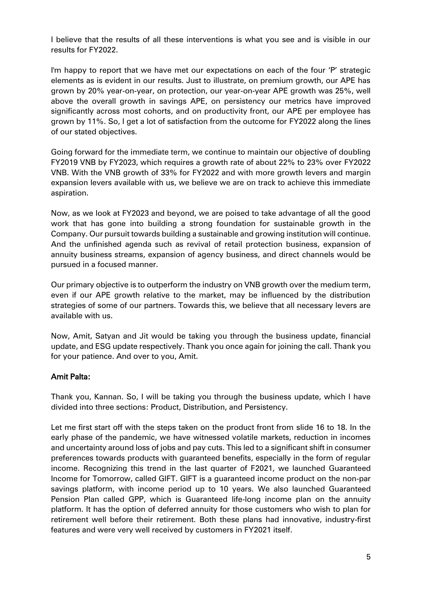I believe that the results of all these interventions is what you see and is visible in our results for FY2022.

I'm happy to report that we have met our expectations on each of the four 'P' strategic elements as is evident in our results. Just to illustrate, on premium growth, our APE has grown by 20% year-on-year, on protection, our year-on-year APE growth was 25%, well above the overall growth in savings APE, on persistency our metrics have improved significantly across most cohorts, and on productivity front, our APE per employee has grown by 11%. So, I get a lot of satisfaction from the outcome for FY2022 along the lines of our stated objectives.

Going forward for the immediate term, we continue to maintain our objective of doubling FY2019 VNB by FY2023, which requires a growth rate of about 22% to 23% over FY2022 VNB. With the VNB growth of 33% for FY2022 and with more growth levers and margin expansion levers available with us, we believe we are on track to achieve this immediate aspiration.

Now, as we look at FY2023 and beyond, we are poised to take advantage of all the good work that has gone into building a strong foundation for sustainable growth in the Company. Our pursuit towards building a sustainable and growing institution will continue. And the unfinished agenda such as revival of retail protection business, expansion of annuity business streams, expansion of agency business, and direct channels would be pursued in a focused manner.

Our primary objective is to outperform the industry on VNB growth over the medium term, even if our APE growth relative to the market, may be influenced by the distribution strategies of some of our partners. Towards this, we believe that all necessary levers are available with us.

Now, Amit, Satyan and Jit would be taking you through the business update, financial update, and ESG update respectively. Thank you once again for joining the call. Thank you for your patience. And over to you, Amit.

## Amit Palta:

Thank you, Kannan. So, I will be taking you through the business update, which I have divided into three sections: Product, Distribution, and Persistency.

Let me first start off with the steps taken on the product front from slide 16 to 18. In the early phase of the pandemic, we have witnessed volatile markets, reduction in incomes and uncertainty around loss of jobs and pay cuts. This led to a significant shift in consumer preferences towards products with guaranteed benefits, especially in the form of regular income. Recognizing this trend in the last quarter of F2021, we launched Guaranteed Income for Tomorrow, called GIFT. GIFT is a guaranteed income product on the non-par savings platform, with income period up to 10 years. We also launched Guaranteed Pension Plan called GPP, which is Guaranteed life-long income plan on the annuity platform. It has the option of deferred annuity for those customers who wish to plan for retirement well before their retirement. Both these plans had innovative, industry-first features and were very well received by customers in FY2021 itself.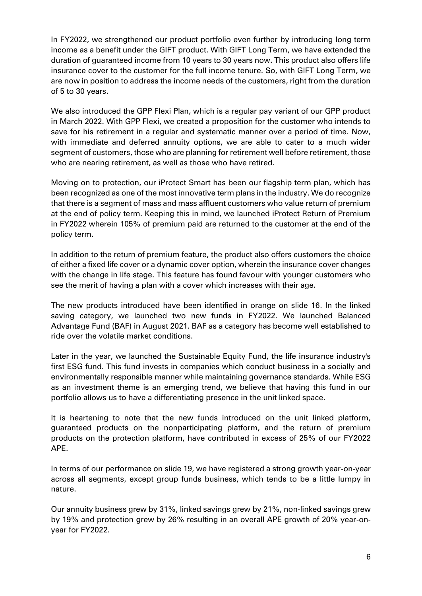In FY2022, we strengthened our product portfolio even further by introducing long term income as a benefit under the GIFT product. With GIFT Long Term, we have extended the duration of guaranteed income from 10 years to 30 years now. This product also offers life insurance cover to the customer for the full income tenure. So, with GIFT Long Term, we are now in position to address the income needs of the customers, right from the duration of 5 to 30 years.

We also introduced the GPP Flexi Plan, which is a regular pay variant of our GPP product in March 2022. With GPP Flexi, we created a proposition for the customer who intends to save for his retirement in a regular and systematic manner over a period of time. Now, with immediate and deferred annuity options, we are able to cater to a much wider segment of customers, those who are planning for retirement well before retirement, those who are nearing retirement, as well as those who have retired.

Moving on to protection, our iProtect Smart has been our flagship term plan, which has been recognized as one of the most innovative term plans in the industry. We do recognize that there is a segment of mass and mass affluent customers who value return of premium at the end of policy term. Keeping this in mind, we launched iProtect Return of Premium in FY2022 wherein 105% of premium paid are returned to the customer at the end of the policy term.

In addition to the return of premium feature, the product also offers customers the choice of either a fixed life cover or a dynamic cover option, wherein the insurance cover changes with the change in life stage. This feature has found favour with younger customers who see the merit of having a plan with a cover which increases with their age.

The new products introduced have been identified in orange on slide 16. In the linked saving category, we launched two new funds in FY2022. We launched Balanced Advantage Fund (BAF) in August 2021. BAF as a category has become well established to ride over the volatile market conditions.

Later in the year, we launched the Sustainable Equity Fund, the life insurance industry's first ESG fund. This fund invests in companies which conduct business in a socially and environmentally responsible manner while maintaining governance standards. While ESG as an investment theme is an emerging trend, we believe that having this fund in our portfolio allows us to have a differentiating presence in the unit linked space.

It is heartening to note that the new funds introduced on the unit linked platform, guaranteed products on the nonparticipating platform, and the return of premium products on the protection platform, have contributed in excess of 25% of our FY2022 APE.

In terms of our performance on slide 19, we have registered a strong growth year-on-year across all segments, except group funds business, which tends to be a little lumpy in nature.

Our annuity business grew by 31%, linked savings grew by 21%, non-linked savings grew by 19% and protection grew by 26% resulting in an overall APE growth of 20% year-onyear for FY2022.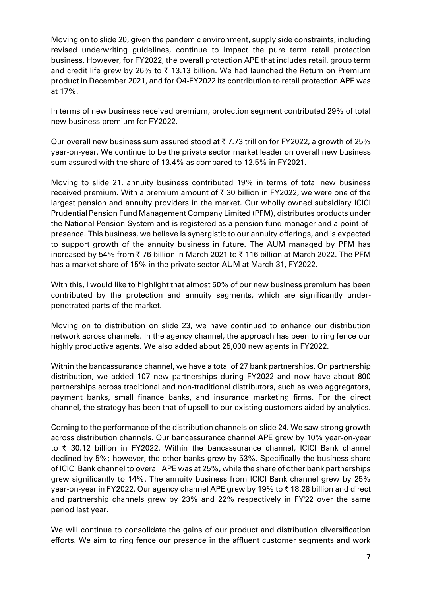Moving on to slide 20, given the pandemic environment, supply side constraints, including revised underwriting guidelines, continue to impact the pure term retail protection business. However, for FY2022, the overall protection APE that includes retail, group term and credit life grew by 26% to  $\bar{\tau}$  13.13 billion. We had launched the Return on Premium product in December 2021, and for Q4-FY2022 its contribution to retail protection APE was at 17%.

In terms of new business received premium, protection segment contributed 29% of total new business premium for FY2022.

Our overall new business sum assured stood at  $\bar{\tau}$  7.73 trillion for FY2022, a growth of 25% year-on-year. We continue to be the private sector market leader on overall new business sum assured with the share of 13.4% as compared to 12.5% in FY2021.

Moving to slide 21, annuity business contributed 19% in terms of total new business received premium. With a premium amount of  $\bar{\tau}$  30 billion in FY2022, we were one of the largest pension and annuity providers in the market. Our wholly owned subsidiary ICICI Prudential Pension Fund Management Company Limited (PFM), distributes products under the National Pension System and is registered as a pension fund manager and a point-ofpresence. This business, we believe is synergistic to our annuity offerings, and is expected to support growth of the annuity business in future. The AUM managed by PFM has increased by 54% from  $\bar{\tau}$  76 billion in March 2021 to  $\bar{\tau}$  116 billion at March 2022. The PFM has a market share of 15% in the private sector AUM at March 31, FY2022.

With this, I would like to highlight that almost 50% of our new business premium has been contributed by the protection and annuity segments, which are significantly underpenetrated parts of the market.

Moving on to distribution on slide 23, we have continued to enhance our distribution network across channels. In the agency channel, the approach has been to ring fence our highly productive agents. We also added about 25,000 new agents in FY2022.

Within the bancassurance channel, we have a total of 27 bank partnerships. On partnership distribution, we added 107 new partnerships during FY2022 and now have about 800 partnerships across traditional and non-traditional distributors, such as web aggregators, payment banks, small finance banks, and insurance marketing firms. For the direct channel, the strategy has been that of upsell to our existing customers aided by analytics.

Coming to the performance of the distribution channels on slide 24. We saw strong growth across distribution channels. Our bancassurance channel APE grew by 10% year-on-year to  $\bar{\tau}$  30.12 billion in FY2022. Within the bancassurance channel, ICICI Bank channel declined by 5%; however, the other banks grew by 53%. Specifically the business share of ICICI Bank channel to overall APE was at 25%, while the share of other bank partnerships grew significantly to 14%. The annuity business from ICICI Bank channel grew by 25% year-on-year in FY2022. Our agency channel APE grew by 19% to ₹18.28 billion and direct and partnership channels grew by 23% and 22% respectively in FY'22 over the same period last year.

We will continue to consolidate the gains of our product and distribution diversification efforts. We aim to ring fence our presence in the affluent customer segments and work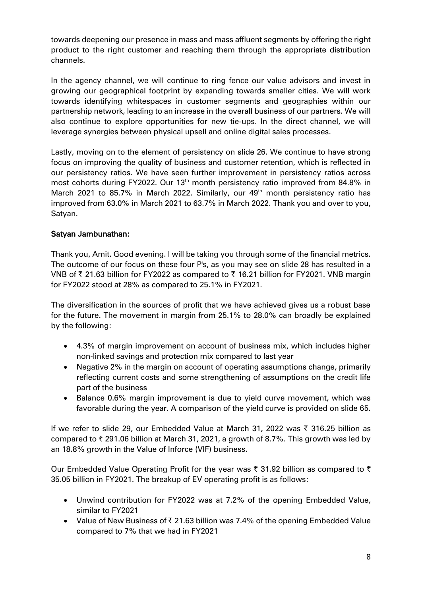towards deepening our presence in mass and mass affluent segments by offering the right product to the right customer and reaching them through the appropriate distribution channels.

In the agency channel, we will continue to ring fence our value advisors and invest in growing our geographical footprint by expanding towards smaller cities. We will work towards identifying whitespaces in customer segments and geographies within our partnership network, leading to an increase in the overall business of our partners. We will also continue to explore opportunities for new tie-ups. In the direct channel, we will leverage synergies between physical upsell and online digital sales processes.

Lastly, moving on to the element of persistency on slide 26. We continue to have strong focus on improving the quality of business and customer retention, which is reflected in our persistency ratios. We have seen further improvement in persistency ratios across most cohorts during FY2022. Our 13<sup>th</sup> month persistency ratio improved from 84.8% in March 2021 to 85.7% in March 2022. Similarly, our  $49<sup>th</sup>$  month persistency ratio has improved from 63.0% in March 2021 to 63.7% in March 2022. Thank you and over to you, Satyan.

## Satyan Jambunathan:

Thank you, Amit. Good evening. I will be taking you through some of the financial metrics. The outcome of our focus on these four P's, as you may see on slide 28 has resulted in a VNB of ₹ 21.63 billion for FY2022 as compared to ₹ 16.21 billion for FY2021. VNB margin for FY2022 stood at 28% as compared to 25.1% in FY2021.

The diversification in the sources of profit that we have achieved gives us a robust base for the future. The movement in margin from 25.1% to 28.0% can broadly be explained by the following:

- 4.3% of margin improvement on account of business mix, which includes higher non-linked savings and protection mix compared to last year
- Negative 2% in the margin on account of operating assumptions change, primarily reflecting current costs and some strengthening of assumptions on the credit life part of the business
- Balance 0.6% margin improvement is due to yield curve movement, which was favorable during the year. A comparison of the yield curve is provided on slide 65.

If we refer to slide 29, our Embedded Value at March 31, 2022 was  $\bar{\tau}$  316.25 billion as compared to  $\bar{\tau}$  291.06 billion at March 31, 2021, a growth of 8.7%. This growth was led by an 18.8% growth in the Value of Inforce (VIF) business.

Our Embedded Value Operating Profit for the year was  $\bar{\tau}$  31.92 billion as compared to  $\bar{\tau}$ 35.05 billion in FY2021. The breakup of EV operating profit is as follows:

- Unwind contribution for FY2022 was at 7.2% of the opening Embedded Value, similar to FY2021
- Value of New Business of  $\bar{\tau}$  21.63 billion was 7.4% of the opening Embedded Value compared to 7% that we had in FY2021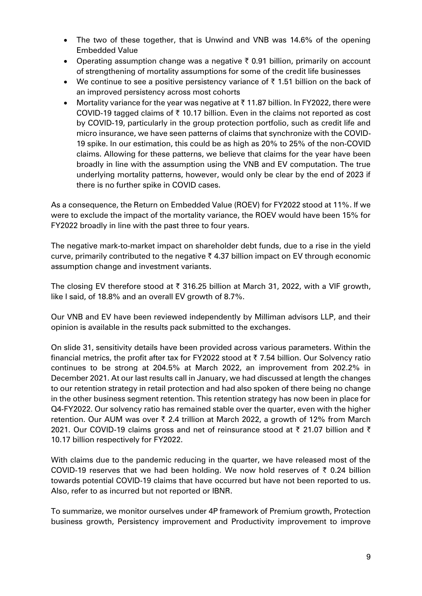- The two of these together, that is Unwind and VNB was 14.6% of the opening Embedded Value
- Operating assumption change was a negative  $\bar{\tau}$  0.91 billion, primarily on account of strengthening of mortality assumptions for some of the credit life businesses
- We continue to see a positive persistency variance of  $\bar{\tau}$  1.51 billion on the back of an improved persistency across most cohorts
- Mortality variance for the year was negative at  $\bar{\tau}$  11.87 billion. In FY2022, there were COVID-19 tagged claims of  $\bar{\tau}$  10.17 billion. Even in the claims not reported as cost by COVID-19, particularly in the group protection portfolio, such as credit life and micro insurance, we have seen patterns of claims that synchronize with the COVID-19 spike. In our estimation, this could be as high as 20% to 25% of the non-COVID claims. Allowing for these patterns, we believe that claims for the year have been broadly in line with the assumption using the VNB and EV computation. The true underlying mortality patterns, however, would only be clear by the end of 2023 if there is no further spike in COVID cases.

As a consequence, the Return on Embedded Value (ROEV) for FY2022 stood at 11%. If we were to exclude the impact of the mortality variance, the ROEV would have been 15% for FY2022 broadly in line with the past three to four years.

The negative mark-to-market impact on shareholder debt funds, due to a rise in the yield curve, primarily contributed to the negative  $\bar{\tau}$  4.37 billion impact on EV through economic assumption change and investment variants.

The closing EV therefore stood at  $\bar{\tau}$  316.25 billion at March 31, 2022, with a VIF growth, like I said, of 18.8% and an overall EV growth of 8.7%.

Our VNB and EV have been reviewed independently by Milliman advisors LLP, and their opinion is available in the results pack submitted to the exchanges.

On slide 31, sensitivity details have been provided across various parameters. Within the financial metrics, the profit after tax for FY2022 stood at  $\bar{\tau}$  7.54 billion. Our Solvency ratio continues to be strong at 204.5% at March 2022, an improvement from 202.2% in December 2021. At our last results call in January, we had discussed at length the changes to our retention strategy in retail protection and had also spoken of there being no change in the other business segment retention. This retention strategy has now been in place for Q4-FY2022. Our solvency ratio has remained stable over the quarter, even with the higher retention. Our AUM was over  $\bar{\tau}$  2.4 trillion at March 2022, a growth of 12% from March 2021. Our COVID-19 claims gross and net of reinsurance stood at  $\bar{\tau}$  21.07 billion and  $\bar{\tau}$ 10.17 billion respectively for FY2022.

With claims due to the pandemic reducing in the quarter, we have released most of the COVID-19 reserves that we had been holding. We now hold reserves of  $\bar{\tau}$  0.24 billion towards potential COVID-19 claims that have occurred but have not been reported to us. Also, refer to as incurred but not reported or IBNR.

To summarize, we monitor ourselves under 4P framework of Premium growth, Protection business growth, Persistency improvement and Productivity improvement to improve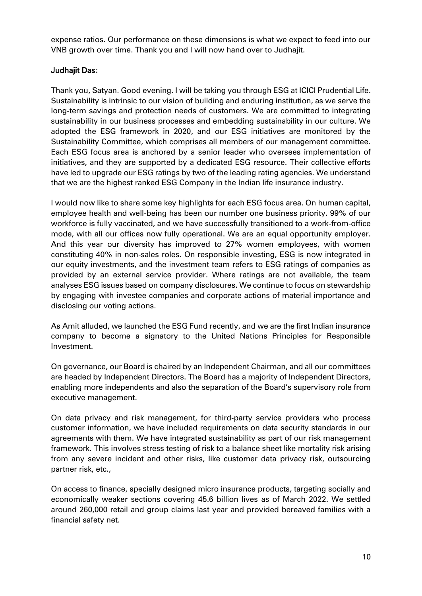expense ratios. Our performance on these dimensions is what we expect to feed into our VNB growth over time. Thank you and I will now hand over to Judhajit.

## Judhajit Das:

Thank you, Satyan. Good evening. I will be taking you through ESG at ICICI Prudential Life. Sustainability is intrinsic to our vision of building and enduring institution, as we serve the long-term savings and protection needs of customers. We are committed to integrating sustainability in our business processes and embedding sustainability in our culture. We adopted the ESG framework in 2020, and our ESG initiatives are monitored by the Sustainability Committee, which comprises all members of our management committee. Each ESG focus area is anchored by a senior leader who oversees implementation of initiatives, and they are supported by a dedicated ESG resource. Their collective efforts have led to upgrade our ESG ratings by two of the leading rating agencies. We understand that we are the highest ranked ESG Company in the Indian life insurance industry.

I would now like to share some key highlights for each ESG focus area. On human capital, employee health and well-being has been our number one business priority. 99% of our workforce is fully vaccinated, and we have successfully transitioned to a work-from-office mode, with all our offices now fully operational. We are an equal opportunity employer. And this year our diversity has improved to 27% women employees, with women constituting 40% in non-sales roles. On responsible investing, ESG is now integrated in our equity investments, and the investment team refers to ESG ratings of companies as provided by an external service provider. Where ratings are not available, the team analyses ESG issues based on company disclosures. We continue to focus on stewardship by engaging with investee companies and corporate actions of material importance and disclosing our voting actions.

As Amit alluded, we launched the ESG Fund recently, and we are the first Indian insurance company to become a signatory to the United Nations Principles for Responsible Investment.

On governance, our Board is chaired by an Independent Chairman, and all our committees are headed by Independent Directors. The Board has a majority of Independent Directors, enabling more independents and also the separation of the Board's supervisory role from executive management.

On data privacy and risk management, for third-party service providers who process customer information, we have included requirements on data security standards in our agreements with them. We have integrated sustainability as part of our risk management framework. This involves stress testing of risk to a balance sheet like mortality risk arising from any severe incident and other risks, like customer data privacy risk, outsourcing partner risk, etc.,

On access to finance, specially designed micro insurance products, targeting socially and economically weaker sections covering 45.6 billion lives as of March 2022. We settled around 260,000 retail and group claims last year and provided bereaved families with a financial safety net.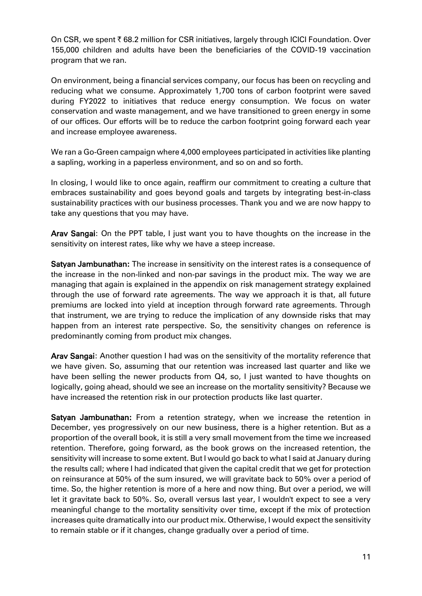On CSR, we spent  $\bar{\tau}$  68.2 million for CSR initiatives, largely through ICICI Foundation. Over 155,000 children and adults have been the beneficiaries of the COVID-19 vaccination program that we ran.

On environment, being a financial services company, our focus has been on recycling and reducing what we consume. Approximately 1,700 tons of carbon footprint were saved during FY2022 to initiatives that reduce energy consumption. We focus on water conservation and waste management, and we have transitioned to green energy in some of our offices. Our efforts will be to reduce the carbon footprint going forward each year and increase employee awareness.

We ran a Go-Green campaign where 4,000 employees participated in activities like planting a sapling, working in a paperless environment, and so on and so forth.

In closing, I would like to once again, reaffirm our commitment to creating a culture that embraces sustainability and goes beyond goals and targets by integrating best-in-class sustainability practices with our business processes. Thank you and we are now happy to take any questions that you may have.

Arav Sangai: On the PPT table, I just want you to have thoughts on the increase in the sensitivity on interest rates, like why we have a steep increase.

Satyan Jambunathan: The increase in sensitivity on the interest rates is a consequence of the increase in the non-linked and non-par savings in the product mix. The way we are managing that again is explained in the appendix on risk management strategy explained through the use of forward rate agreements. The way we approach it is that, all future premiums are locked into yield at inception through forward rate agreements. Through that instrument, we are trying to reduce the implication of any downside risks that may happen from an interest rate perspective. So, the sensitivity changes on reference is predominantly coming from product mix changes.

Arav Sangai: Another question I had was on the sensitivity of the mortality reference that we have given. So, assuming that our retention was increased last quarter and like we have been selling the newer products from Q4, so, I just wanted to have thoughts on logically, going ahead, should we see an increase on the mortality sensitivity? Because we have increased the retention risk in our protection products like last quarter.

Satyan Jambunathan: From a retention strategy, when we increase the retention in December, yes progressively on our new business, there is a higher retention. But as a proportion of the overall book, it is still a very small movement from the time we increased retention. Therefore, going forward, as the book grows on the increased retention, the sensitivity will increase to some extent. But I would go back to what I said at January during the results call; where I had indicated that given the capital credit that we get for protection on reinsurance at 50% of the sum insured, we will gravitate back to 50% over a period of time. So, the higher retention is more of a here and now thing. But over a period, we will let it gravitate back to 50%. So, overall versus last year, I wouldn't expect to see a very meaningful change to the mortality sensitivity over time, except if the mix of protection increases quite dramatically into our product mix. Otherwise, I would expect the sensitivity to remain stable or if it changes, change gradually over a period of time.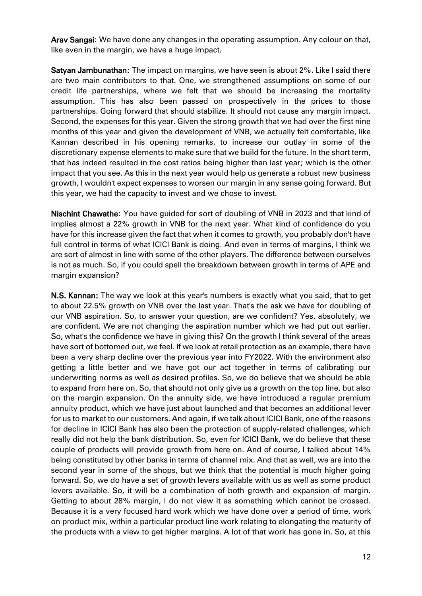Arav Sangai: We have done any changes in the operating assumption. Any colour on that, like even in the margin, we have a huge impact.

Satyan Jambunathan: The impact on margins, we have seen is about 2%. Like I said there are two main contributors to that. One, we strengthened assumptions on some of our credit life partnerships, where we felt that we should be increasing the mortality assumption. This has also been passed on prospectively in the prices to those partnerships. Going forward that should stabilize. It should not cause any margin impact. Second, the expenses for this year. Given the strong growth that we had over the first nine months of this year and given the development of VNB, we actually felt comfortable, like Kannan described in his opening remarks, to increase our outlay in some of the discretionary expense elements to make sure that we build for the future. In the short term, that has indeed resulted in the cost ratios being higher than last year; which is the other impact that you see. As this in the next year would help us generate a robust new business growth, I wouldn't expect expenses to worsen our margin in any sense going forward. But this year, we had the capacity to invest and we chose to invest.

Nischint Chawathe: You have guided for sort of doubling of VNB in 2023 and that kind of implies almost a 22% growth in VNB for the next year. What kind of confidence do you have for this increase given the fact that when it comes to growth, you probably don't have full control in terms of what ICICI Bank is doing. And even in terms of margins, I think we are sort of almost in line with some of the other players. The difference between ourselves is not as much. So, if you could spell the breakdown between growth in terms of APE and margin expansion?

N.S. Kannan: The way we look at this year's numbers is exactly what you said, that to get to about 22.5% growth on VNB over the last year. That's the ask we have for doubling of our VNB aspiration. So, to answer your question, are we confident? Yes, absolutely, we are confident. We are not changing the aspiration number which we had put out earlier. So, what's the confidence we have in giving this? On the growth I think several of the areas have sort of bottomed out, we feel. If we look at retail protection as an example, there have been a very sharp decline over the previous year into FY2022. With the environment also getting a little better and we have got our act together in terms of calibrating our underwriting norms as well as desired profiles. So, we do believe that we should be able to expand from here on. So, that should not only give us a growth on the top line, but also on the margin expansion. On the annuity side, we have introduced a regular premium annuity product, which we have just about launched and that becomes an additional lever for us to market to our customers. And again, if we talk about ICICI Bank, one of the reasons for decline in ICICI Bank has also been the protection of supply-related challenges, which really did not help the bank distribution. So, even for ICICI Bank, we do believe that these couple of products will provide growth from here on. And of course, I talked about 14% being constituted by other banks in terms of channel mix. And that as well, we are into the second year in some of the shops, but we think that the potential is much higher going forward. So, we do have a set of growth levers available with us as well as some product levers available. So, it will be a combination of both growth and expansion of margin. Getting to about 28% margin, I do not view it as something which cannot be crossed. Because it is a very focused hard work which we have done over a period of time, work on product mix, within a particular product line work relating to elongating the maturity of the products with a view to get higher margins. A lot of that work has gone in. So, at this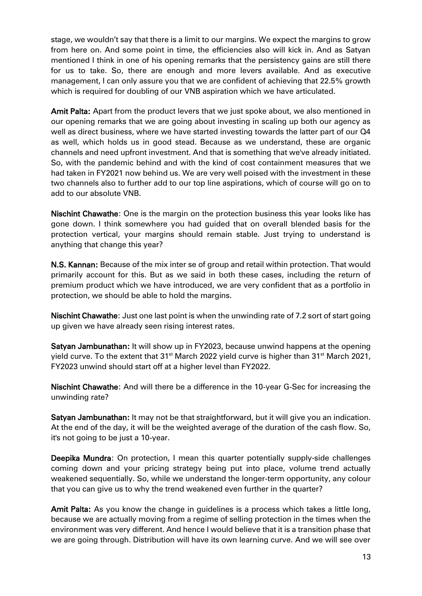stage, we wouldn't say that there is a limit to our margins. We expect the margins to grow from here on. And some point in time, the efficiencies also will kick in. And as Satyan mentioned I think in one of his opening remarks that the persistency gains are still there for us to take. So, there are enough and more levers available. And as executive management, I can only assure you that we are confident of achieving that 22.5% growth which is required for doubling of our VNB aspiration which we have articulated.

Amit Palta: Apart from the product levers that we just spoke about, we also mentioned in our opening remarks that we are going about investing in scaling up both our agency as well as direct business, where we have started investing towards the latter part of our Q4 as well, which holds us in good stead. Because as we understand, these are organic channels and need upfront investment. And that is something that we've already initiated. So, with the pandemic behind and with the kind of cost containment measures that we had taken in FY2021 now behind us. We are very well poised with the investment in these two channels also to further add to our top line aspirations, which of course will go on to add to our absolute VNB.

Nischint Chawathe: One is the margin on the protection business this year looks like has gone down. I think somewhere you had guided that on overall blended basis for the protection vertical, your margins should remain stable. Just trying to understand is anything that change this year?

N.S. Kannan: Because of the mix inter se of group and retail within protection. That would primarily account for this. But as we said in both these cases, including the return of premium product which we have introduced, we are very confident that as a portfolio in protection, we should be able to hold the margins.

Nischint Chawathe: Just one last point is when the unwinding rate of 7.2 sort of start going up given we have already seen rising interest rates.

Satyan Jambunathan: It will show up in FY2023, because unwind happens at the opening yield curve. To the extent that  $31<sup>st</sup>$  March 2022 yield curve is higher than  $31<sup>st</sup>$  March 2021, FY2023 unwind should start off at a higher level than FY2022.

Nischint Chawathe: And will there be a difference in the 10-year G-Sec for increasing the unwinding rate?

Satyan Jambunathan: It may not be that straightforward, but it will give you an indication. At the end of the day, it will be the weighted average of the duration of the cash flow. So, it's not going to be just a 10-year.

Deepika Mundra: On protection, I mean this quarter potentially supply-side challenges coming down and your pricing strategy being put into place, volume trend actually weakened sequentially. So, while we understand the longer-term opportunity, any colour that you can give us to why the trend weakened even further in the quarter?

Amit Palta: As you know the change in guidelines is a process which takes a little long, because we are actually moving from a regime of selling protection in the times when the environment was very different. And hence I would believe that it is a transition phase that we are going through. Distribution will have its own learning curve. And we will see over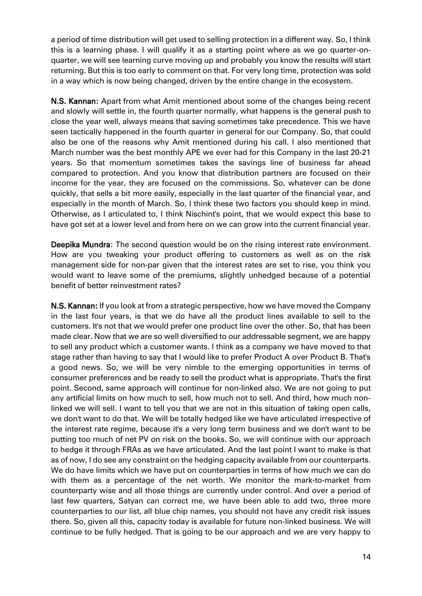a period of time distribution will get used to selling protection in a different way. So, I think this is a learning phase. I will qualify it as a starting point where as we go quarter-onquarter, we will see learning curve moving up and probably you know the results will start returning. But this is too early to comment on that. For very long time, protection was sold in a way which is now being changed, driven by the entire change in the ecosystem.

N.S. Kannan: Apart from what Amit mentioned about some of the changes being recent and slowly will settle in, the fourth quarter normally, what happens is the general push to close the year well, always means that saving sometimes take precedence. This we have seen tactically happened in the fourth quarter in general for our Company. So, that could also be one of the reasons why Amit mentioned during his call. I also mentioned that March number was the best monthly APE we ever had for this Company in the last 20-21 years. So that momentum sometimes takes the savings line of business far ahead compared to protection. And you know that distribution partners are focused on their income for the year, they are focused on the commissions. So, whatever can be done quickly, that sells a bit more easily, especially in the last quarter of the financial year, and especially in the month of March. So, I think these two factors you should keep in mind. Otherwise, as I articulated to, I think Nischint's point, that we would expect this base to have got set at a lower level and from here on we can grow into the current financial year.

Deepika Mundra: The second question would be on the rising interest rate environment. How are you tweaking your product offering to customers as well as on the risk management side for non-par given that the interest rates are set to rise, you think you would want to leave some of the premiums, slightly unhedged because of a potential benefit of better reinvestment rates?

N.S. Kannan: If you look at from a strategic perspective, how we have moved the Company in the last four years, is that we do have all the product lines available to sell to the customers. It's not that we would prefer one product line over the other. So, that has been made clear. Now that we are so well diversified to our addressable segment, we are happy to sell any product which a customer wants. I think as a company we have moved to that stage rather than having to say that I would like to prefer Product A over Product B. That's a good news. So, we will be very nimble to the emerging opportunities in terms of consumer preferences and be ready to sell the product what is appropriate. That's the first point. Second, same approach will continue for non-linked also. We are not going to put any artificial limits on how much to sell, how much not to sell. And third, how much nonlinked we will sell. I want to tell you that we are not in this situation of taking open calls, we don't want to do that. We will be totally hedged like we have articulated irrespective of the interest rate regime, because it's a very long term business and we don't want to be putting too much of net PV on risk on the books. So, we will continue with our approach to hedge it through FRAs as we have articulated. And the last point I want to make is that as of now, I do see any constraint on the hedging capacity available from our counterparts. We do have limits which we have put on counterparties in terms of how much we can do with them as a percentage of the net worth. We monitor the mark-to-market from counterparty wise and all those things are currently under control. And over a period of last few quarters, Satyan can correct me, we have been able to add two, three more counterparties to our list, all blue chip names, you should not have any credit risk issues there. So, given all this, capacity today is available for future non-linked business. We will continue to be fully hedged. That is going to be our approach and we are very happy to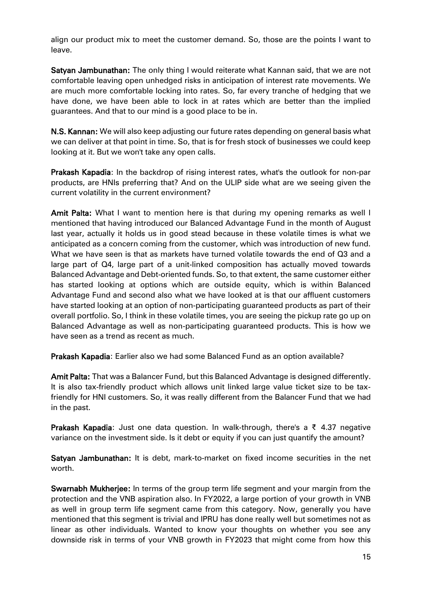align our product mix to meet the customer demand. So, those are the points I want to leave.

Satyan Jambunathan: The only thing I would reiterate what Kannan said, that we are not comfortable leaving open unhedged risks in anticipation of interest rate movements. We are much more comfortable locking into rates. So, far every tranche of hedging that we have done, we have been able to lock in at rates which are better than the implied guarantees. And that to our mind is a good place to be in.

N.S. Kannan: We will also keep adjusting our future rates depending on general basis what we can deliver at that point in time. So, that is for fresh stock of businesses we could keep looking at it. But we won't take any open calls.

Prakash Kapadia: In the backdrop of rising interest rates, what's the outlook for non-par products, are HNIs preferring that? And on the ULIP side what are we seeing given the current volatility in the current environment?

Amit Palta: What I want to mention here is that during my opening remarks as well I mentioned that having introduced our Balanced Advantage Fund in the month of August last year, actually it holds us in good stead because in these volatile times is what we anticipated as a concern coming from the customer, which was introduction of new fund. What we have seen is that as markets have turned volatile towards the end of Q3 and a large part of Q4, large part of a unit-linked composition has actually moved towards Balanced Advantage and Debt-oriented funds. So, to that extent, the same customer either has started looking at options which are outside equity, which is within Balanced Advantage Fund and second also what we have looked at is that our affluent customers have started looking at an option of non-participating guaranteed products as part of their overall portfolio. So, I think in these volatile times, you are seeing the pickup rate go up on Balanced Advantage as well as non-participating guaranteed products. This is how we have seen as a trend as recent as much.

Prakash Kapadia: Earlier also we had some Balanced Fund as an option available?

Amit Palta: That was a Balancer Fund, but this Balanced Advantage is designed differently. It is also tax-friendly product which allows unit linked large value ticket size to be taxfriendly for HNI customers. So, it was really different from the Balancer Fund that we had in the past.

**Prakash Kapadia:** Just one data question. In walk-through, there's a ₹ 4.37 negative variance on the investment side. Is it debt or equity if you can just quantify the amount?

Satyan Jambunathan: It is debt, mark-to-market on fixed income securities in the net worth.

Swarnabh Mukherjee: In terms of the group term life segment and your margin from the protection and the VNB aspiration also. In FY2022, a large portion of your growth in VNB as well in group term life segment came from this category. Now, generally you have mentioned that this segment is trivial and IPRU has done really well but sometimes not as linear as other individuals. Wanted to know your thoughts on whether you see any downside risk in terms of your VNB growth in FY2023 that might come from how this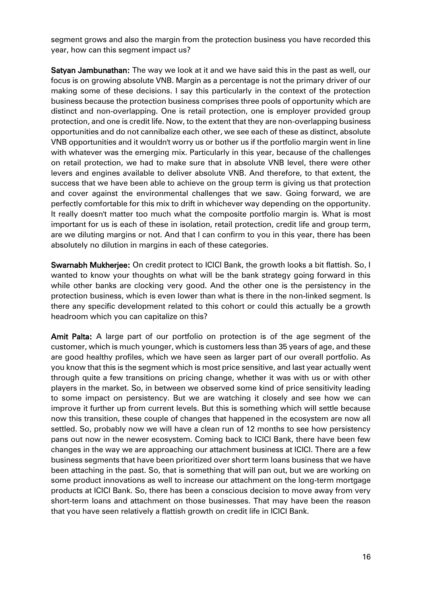segment grows and also the margin from the protection business you have recorded this year, how can this segment impact us?

Satyan Jambunathan: The way we look at it and we have said this in the past as well, our focus is on growing absolute VNB. Margin as a percentage is not the primary driver of our making some of these decisions. I say this particularly in the context of the protection business because the protection business comprises three pools of opportunity which are distinct and non-overlapping. One is retail protection, one is employer provided group protection, and one is credit life. Now, to the extent that they are non-overlapping business opportunities and do not cannibalize each other, we see each of these as distinct, absolute VNB opportunities and it wouldn't worry us or bother us if the portfolio margin went in line with whatever was the emerging mix. Particularly in this year, because of the challenges on retail protection, we had to make sure that in absolute VNB level, there were other levers and engines available to deliver absolute VNB. And therefore, to that extent, the success that we have been able to achieve on the group term is giving us that protection and cover against the environmental challenges that we saw. Going forward, we are perfectly comfortable for this mix to drift in whichever way depending on the opportunity. It really doesn't matter too much what the composite portfolio margin is. What is most important for us is each of these in isolation, retail protection, credit life and group term, are we diluting margins or not. And that I can confirm to you in this year, there has been absolutely no dilution in margins in each of these categories.

Swarnabh Mukherjee: On credit protect to ICICI Bank, the growth looks a bit flattish. So, I wanted to know your thoughts on what will be the bank strategy going forward in this while other banks are clocking very good. And the other one is the persistency in the protection business, which is even lower than what is there in the non-linked segment. Is there any specific development related to this cohort or could this actually be a growth headroom which you can capitalize on this?

Amit Palta: A large part of our portfolio on protection is of the age segment of the customer, which is much younger, which is customers less than 35 years of age, and these are good healthy profiles, which we have seen as larger part of our overall portfolio. As you know that this is the segment which is most price sensitive, and last year actually went through quite a few transitions on pricing change, whether it was with us or with other players in the market. So, in between we observed some kind of price sensitivity leading to some impact on persistency. But we are watching it closely and see how we can improve it further up from current levels. But this is something which will settle because now this transition, these couple of changes that happened in the ecosystem are now all settled. So, probably now we will have a clean run of 12 months to see how persistency pans out now in the newer ecosystem. Coming back to ICICI Bank, there have been few changes in the way we are approaching our attachment business at ICICI. There are a few business segments that have been prioritized over short term loans business that we have been attaching in the past. So, that is something that will pan out, but we are working on some product innovations as well to increase our attachment on the long-term mortgage products at ICICI Bank. So, there has been a conscious decision to move away from very short-term loans and attachment on those businesses. That may have been the reason that you have seen relatively a flattish growth on credit life in ICICI Bank.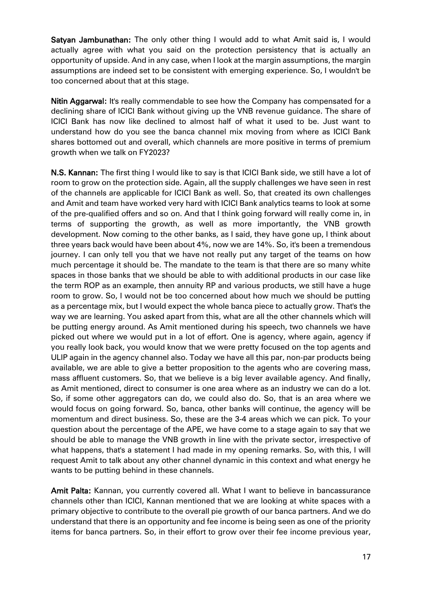Satyan Jambunathan: The only other thing I would add to what Amit said is, I would actually agree with what you said on the protection persistency that is actually an opportunity of upside. And in any case, when I look at the margin assumptions, the margin assumptions are indeed set to be consistent with emerging experience. So, I wouldn't be too concerned about that at this stage.

Nitin Aggarwal: It's really commendable to see how the Company has compensated for a declining share of ICICI Bank without giving up the VNB revenue guidance. The share of ICICI Bank has now like declined to almost half of what it used to be. Just want to understand how do you see the banca channel mix moving from where as ICICI Bank shares bottomed out and overall, which channels are more positive in terms of premium growth when we talk on FY2023?

N.S. Kannan: The first thing I would like to say is that ICICI Bank side, we still have a lot of room to grow on the protection side. Again, all the supply challenges we have seen in rest of the channels are applicable for ICICI Bank as well. So, that created its own challenges and Amit and team have worked very hard with ICICI Bank analytics teams to look at some of the pre-qualified offers and so on. And that I think going forward will really come in, in terms of supporting the growth, as well as more importantly, the VNB growth development. Now coming to the other banks, as I said, they have gone up, I think about three years back would have been about 4%, now we are 14%. So, it's been a tremendous journey. I can only tell you that we have not really put any target of the teams on how much percentage it should be. The mandate to the team is that there are so many white spaces in those banks that we should be able to with additional products in our case like the term ROP as an example, then annuity RP and various products, we still have a huge room to grow. So, I would not be too concerned about how much we should be putting as a percentage mix, but I would expect the whole banca piece to actually grow. That's the way we are learning. You asked apart from this, what are all the other channels which will be putting energy around. As Amit mentioned during his speech, two channels we have picked out where we would put in a lot of effort. One is agency, where again, agency if you really look back, you would know that we were pretty focused on the top agents and ULIP again in the agency channel also. Today we have all this par, non-par products being available, we are able to give a better proposition to the agents who are covering mass, mass affluent customers. So, that we believe is a big lever available agency. And finally, as Amit mentioned, direct to consumer is one area where as an industry we can do a lot. So, if some other aggregators can do, we could also do. So, that is an area where we would focus on going forward. So, banca, other banks will continue, the agency will be momentum and direct business. So, these are the 3-4 areas which we can pick. To your question about the percentage of the APE, we have come to a stage again to say that we should be able to manage the VNB growth in line with the private sector, irrespective of what happens, that's a statement I had made in my opening remarks. So, with this, I will request Amit to talk about any other channel dynamic in this context and what energy he wants to be putting behind in these channels.

Amit Palta: Kannan, you currently covered all. What I want to believe in bancassurance channels other than ICICI, Kannan mentioned that we are looking at white spaces with a primary objective to contribute to the overall pie growth of our banca partners. And we do understand that there is an opportunity and fee income is being seen as one of the priority items for banca partners. So, in their effort to grow over their fee income previous year,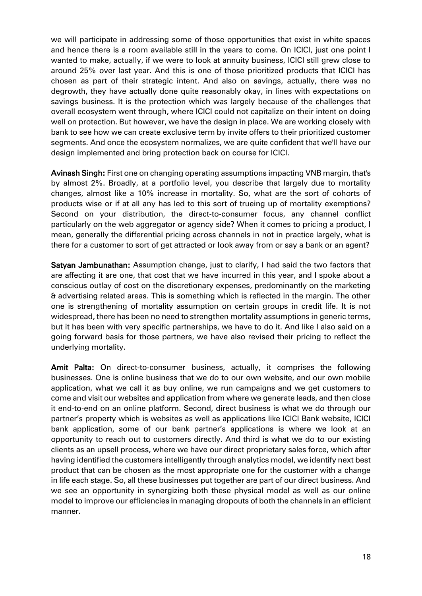we will participate in addressing some of those opportunities that exist in white spaces and hence there is a room available still in the years to come. On ICICI, just one point I wanted to make, actually, if we were to look at annuity business, ICICI still grew close to around 25% over last year. And this is one of those prioritized products that ICICI has chosen as part of their strategic intent. And also on savings, actually, there was no degrowth, they have actually done quite reasonably okay, in lines with expectations on savings business. It is the protection which was largely because of the challenges that overall ecosystem went through, where ICICI could not capitalize on their intent on doing well on protection. But however, we have the design in place. We are working closely with bank to see how we can create exclusive term by invite offers to their prioritized customer segments. And once the ecosystem normalizes, we are quite confident that we'll have our design implemented and bring protection back on course for ICICI.

Avinash Singh: First one on changing operating assumptions impacting VNB margin, that's by almost 2%. Broadly, at a portfolio level, you describe that largely due to mortality changes, almost like a 10% increase in mortality. So, what are the sort of cohorts of products wise or if at all any has led to this sort of trueing up of mortality exemptions? Second on your distribution, the direct-to-consumer focus, any channel conflict particularly on the web aggregator or agency side? When it comes to pricing a product, I mean, generally the differential pricing across channels in not in practice largely, what is there for a customer to sort of get attracted or look away from or say a bank or an agent?

Satyan Jambunathan: Assumption change, just to clarify, I had said the two factors that are affecting it are one, that cost that we have incurred in this year, and I spoke about a conscious outlay of cost on the discretionary expenses, predominantly on the marketing & advertising related areas. This is something which is reflected in the margin. The other one is strengthening of mortality assumption on certain groups in credit life. It is not widespread, there has been no need to strengthen mortality assumptions in generic terms, but it has been with very specific partnerships, we have to do it. And like I also said on a going forward basis for those partners, we have also revised their pricing to reflect the underlying mortality.

Amit Palta: On direct-to-consumer business, actually, it comprises the following businesses. One is online business that we do to our own website, and our own mobile application, what we call it as buy online, we run campaigns and we get customers to come and visit our websites and application from where we generate leads, and then close it end-to-end on an online platform. Second, direct business is what we do through our partner's property which is websites as well as applications like ICICI Bank website, ICICI bank application, some of our bank partner's applications is where we look at an opportunity to reach out to customers directly. And third is what we do to our existing clients as an upsell process, where we have our direct proprietary sales force, which after having identified the customers intelligently through analytics model, we identify next best product that can be chosen as the most appropriate one for the customer with a change in life each stage. So, all these businesses put together are part of our direct business. And we see an opportunity in synergizing both these physical model as well as our online model to improve our efficiencies in managing dropouts of both the channels in an efficient manner.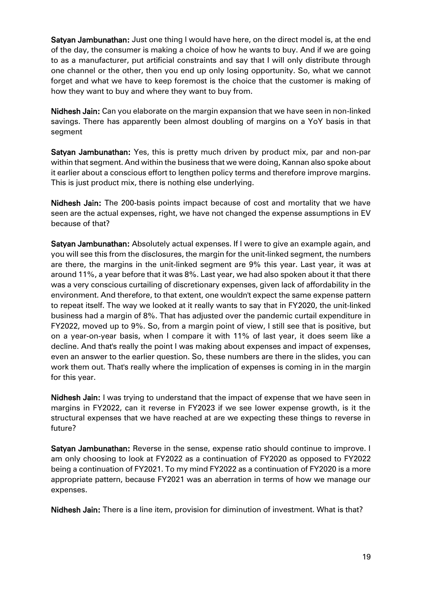Satyan Jambunathan: Just one thing I would have here, on the direct model is, at the end of the day, the consumer is making a choice of how he wants to buy. And if we are going to as a manufacturer, put artificial constraints and say that I will only distribute through one channel or the other, then you end up only losing opportunity. So, what we cannot forget and what we have to keep foremost is the choice that the customer is making of how they want to buy and where they want to buy from.

Nidhesh Jain: Can you elaborate on the margin expansion that we have seen in non-linked savings. There has apparently been almost doubling of margins on a YoY basis in that segment

Satyan Jambunathan: Yes, this is pretty much driven by product mix, par and non-par within that segment. And within the business that we were doing, Kannan also spoke about it earlier about a conscious effort to lengthen policy terms and therefore improve margins. This is just product mix, there is nothing else underlying.

Nidhesh Jain: The 200-basis points impact because of cost and mortality that we have seen are the actual expenses, right, we have not changed the expense assumptions in EV because of that?

Satyan Jambunathan: Absolutely actual expenses. If I were to give an example again, and you will see this from the disclosures, the margin for the unit-linked segment, the numbers are there, the margins in the unit-linked segment are 9% this year. Last year, it was at around 11%, a year before that it was 8%. Last year, we had also spoken about it that there was a very conscious curtailing of discretionary expenses, given lack of affordability in the environment. And therefore, to that extent, one wouldn't expect the same expense pattern to repeat itself. The way we looked at it really wants to say that in FY2020, the unit-linked business had a margin of 8%. That has adjusted over the pandemic curtail expenditure in FY2022, moved up to 9%. So, from a margin point of view, I still see that is positive, but on a year-on-year basis, when I compare it with 11% of last year, it does seem like a decline. And that's really the point I was making about expenses and impact of expenses, even an answer to the earlier question. So, these numbers are there in the slides, you can work them out. That's really where the implication of expenses is coming in in the margin for this year.

Nidhesh Jain: I was trying to understand that the impact of expense that we have seen in margins in FY2022, can it reverse in FY2023 if we see lower expense growth, is it the structural expenses that we have reached at are we expecting these things to reverse in future?

Satyan Jambunathan: Reverse in the sense, expense ratio should continue to improve. I am only choosing to look at FY2022 as a continuation of FY2020 as opposed to FY2022 being a continuation of FY2021. To my mind FY2022 as a continuation of FY2020 is a more appropriate pattern, because FY2021 was an aberration in terms of how we manage our expenses.

Nidhesh Jain: There is a line item, provision for diminution of investment. What is that?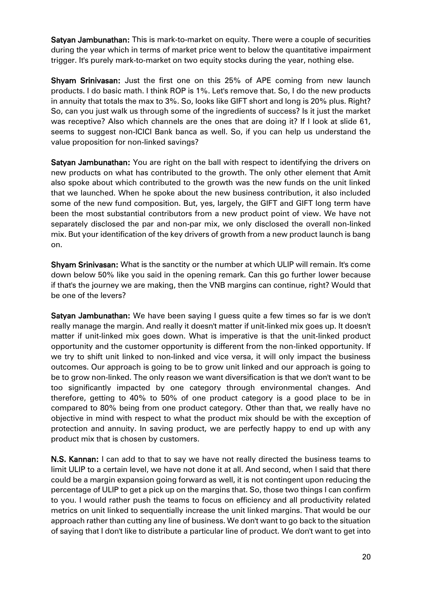Satyan Jambunathan: This is mark-to-market on equity. There were a couple of securities during the year which in terms of market price went to below the quantitative impairment trigger. It's purely mark-to-market on two equity stocks during the year, nothing else.

Shyam Srinivasan: Just the first one on this 25% of APE coming from new launch products. I do basic math. I think ROP is 1%. Let's remove that. So, I do the new products in annuity that totals the max to 3%. So, looks like GIFT short and long is 20% plus. Right? So, can you just walk us through some of the ingredients of success? Is it just the market was receptive? Also which channels are the ones that are doing it? If I look at slide 61, seems to suggest non-ICICI Bank banca as well. So, if you can help us understand the value proposition for non-linked savings?

Satyan Jambunathan: You are right on the ball with respect to identifying the drivers on new products on what has contributed to the growth. The only other element that Amit also spoke about which contributed to the growth was the new funds on the unit linked that we launched. When he spoke about the new business contribution, it also included some of the new fund composition. But, yes, largely, the GIFT and GIFT long term have been the most substantial contributors from a new product point of view. We have not separately disclosed the par and non-par mix, we only disclosed the overall non-linked mix. But your identification of the key drivers of growth from a new product launch is bang on.

Shyam Srinivasan: What is the sanctity or the number at which ULIP will remain. It's come down below 50% like you said in the opening remark. Can this go further lower because if that's the journey we are making, then the VNB margins can continue, right? Would that be one of the levers?

Satyan Jambunathan: We have been saying I guess quite a few times so far is we don't really manage the margin. And really it doesn't matter if unit-linked mix goes up. It doesn't matter if unit-linked mix goes down. What is imperative is that the unit-linked product opportunity and the customer opportunity is different from the non-linked opportunity. If we try to shift unit linked to non-linked and vice versa, it will only impact the business outcomes. Our approach is going to be to grow unit linked and our approach is going to be to grow non-linked. The only reason we want diversification is that we don't want to be too significantly impacted by one category through environmental changes. And therefore, getting to 40% to 50% of one product category is a good place to be in compared to 80% being from one product category. Other than that, we really have no objective in mind with respect to what the product mix should be with the exception of protection and annuity. In saving product, we are perfectly happy to end up with any product mix that is chosen by customers.

N.S. Kannan: I can add to that to say we have not really directed the business teams to limit ULIP to a certain level, we have not done it at all. And second, when I said that there could be a margin expansion going forward as well, it is not contingent upon reducing the percentage of ULIP to get a pick up on the margins that. So, those two things I can confirm to you. I would rather push the teams to focus on efficiency and all productivity related metrics on unit linked to sequentially increase the unit linked margins. That would be our approach rather than cutting any line of business. We don't want to go back to the situation of saying that I don't like to distribute a particular line of product. We don't want to get into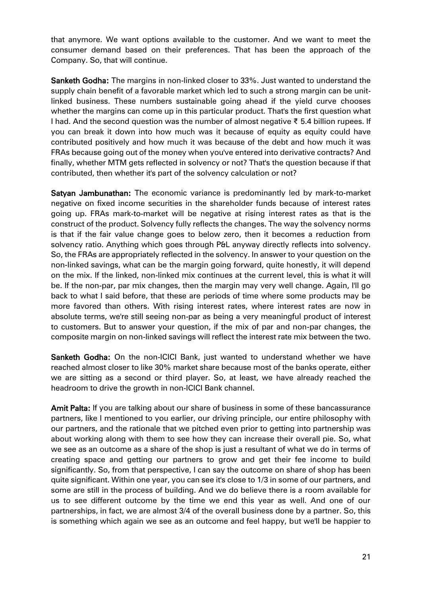that anymore. We want options available to the customer. And we want to meet the consumer demand based on their preferences. That has been the approach of the Company. So, that will continue.

Sanketh Godha: The margins in non-linked closer to 33%. Just wanted to understand the supply chain benefit of a favorable market which led to such a strong margin can be unitlinked business. These numbers sustainable going ahead if the yield curve chooses whether the margins can come up in this particular product. That's the first question what I had. And the second question was the number of almost negative ₹ 5.4 billion rupees. If you can break it down into how much was it because of equity as equity could have contributed positively and how much it was because of the debt and how much it was FRAs because going out of the money when you've entered into derivative contracts? And finally, whether MTM gets reflected in solvency or not? That's the question because if that contributed, then whether it's part of the solvency calculation or not?

Satyan Jambunathan: The economic variance is predominantly led by mark-to-market negative on fixed income securities in the shareholder funds because of interest rates going up. FRAs mark-to-market will be negative at rising interest rates as that is the construct of the product. Solvency fully reflects the changes. The way the solvency norms is that if the fair value change goes to below zero, then it becomes a reduction from solvency ratio. Anything which goes through P&L anyway directly reflects into solvency. So, the FRAs are appropriately reflected in the solvency. In answer to your question on the non-linked savings, what can be the margin going forward, quite honestly, it will depend on the mix. If the linked, non-linked mix continues at the current level, this is what it will be. If the non-par, par mix changes, then the margin may very well change. Again, I'll go back to what I said before, that these are periods of time where some products may be more favored than others. With rising interest rates, where interest rates are now in absolute terms, we're still seeing non-par as being a very meaningful product of interest to customers. But to answer your question, if the mix of par and non-par changes, the composite margin on non-linked savings will reflect the interest rate mix between the two.

Sanketh Godha: On the non-ICICI Bank, just wanted to understand whether we have reached almost closer to like 30% market share because most of the banks operate, either we are sitting as a second or third player. So, at least, we have already reached the headroom to drive the growth in non-ICICI Bank channel.

Amit Palta: If you are talking about our share of business in some of these bancassurance partners, like I mentioned to you earlier, our driving principle, our entire philosophy with our partners, and the rationale that we pitched even prior to getting into partnership was about working along with them to see how they can increase their overall pie. So, what we see as an outcome as a share of the shop is just a resultant of what we do in terms of creating space and getting our partners to grow and get their fee income to build significantly. So, from that perspective, I can say the outcome on share of shop has been quite significant. Within one year, you can see it's close to 1/3 in some of our partners, and some are still in the process of building. And we do believe there is a room available for us to see different outcome by the time we end this year as well. And one of our partnerships, in fact, we are almost 3/4 of the overall business done by a partner. So, this is something which again we see as an outcome and feel happy, but we'll be happier to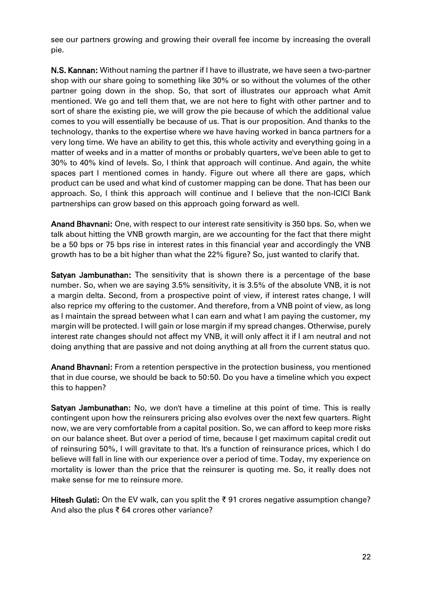see our partners growing and growing their overall fee income by increasing the overall pie.

N.S. Kannan: Without naming the partner if I have to illustrate, we have seen a two-partner shop with our share going to something like 30% or so without the volumes of the other partner going down in the shop. So, that sort of illustrates our approach what Amit mentioned. We go and tell them that, we are not here to fight with other partner and to sort of share the existing pie, we will grow the pie because of which the additional value comes to you will essentially be because of us. That is our proposition. And thanks to the technology, thanks to the expertise where we have having worked in banca partners for a very long time. We have an ability to get this, this whole activity and everything going in a matter of weeks and in a matter of months or probably quarters, we've been able to get to 30% to 40% kind of levels. So, I think that approach will continue. And again, the white spaces part I mentioned comes in handy. Figure out where all there are gaps, which product can be used and what kind of customer mapping can be done. That has been our approach. So, I think this approach will continue and I believe that the non-ICICI Bank partnerships can grow based on this approach going forward as well.

Anand Bhavnani: One, with respect to our interest rate sensitivity is 350 bps. So, when we talk about hitting the VNB growth margin, are we accounting for the fact that there might be a 50 bps or 75 bps rise in interest rates in this financial year and accordingly the VNB growth has to be a bit higher than what the 22% figure? So, just wanted to clarify that.

Satyan Jambunathan: The sensitivity that is shown there is a percentage of the base number. So, when we are saying 3.5% sensitivity, it is 3.5% of the absolute VNB, it is not a margin delta. Second, from a prospective point of view, if interest rates change, I will also reprice my offering to the customer. And therefore, from a VNB point of view, as long as I maintain the spread between what I can earn and what I am paying the customer, my margin will be protected. I will gain or lose margin if my spread changes. Otherwise, purely interest rate changes should not affect my VNB, it will only affect it if I am neutral and not doing anything that are passive and not doing anything at all from the current status quo.

Anand Bhavnani: From a retention perspective in the protection business, you mentioned that in due course, we should be back to 50:50. Do you have a timeline which you expect this to happen?

Satyan Jambunathan: No, we don't have a timeline at this point of time. This is really contingent upon how the reinsurers pricing also evolves over the next few quarters. Right now, we are very comfortable from a capital position. So, we can afford to keep more risks on our balance sheet. But over a period of time, because I get maximum capital credit out of reinsuring 50%, I will gravitate to that. It's a function of reinsurance prices, which I do believe will fall in line with our experience over a period of time. Today, my experience on mortality is lower than the price that the reinsurer is quoting me. So, it really does not make sense for me to reinsure more.

Hitesh Gulati: On the EV walk, can you split the ₹ 91 crores negative assumption change? And also the plus ₹ 64 crores other variance?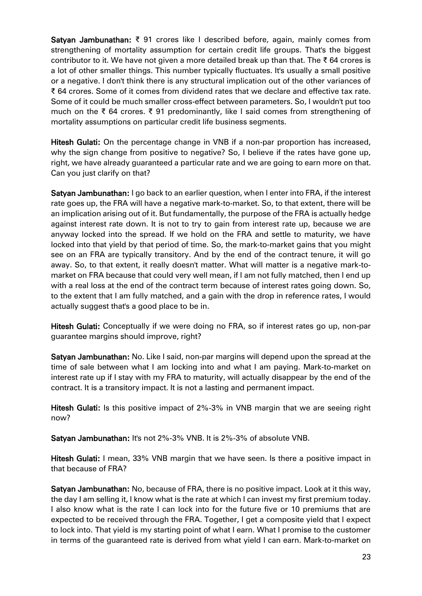Satyan Jambunathan: ₹ 91 crores like I described before, again, mainly comes from strengthening of mortality assumption for certain credit life groups. That's the biggest contributor to it. We have not given a more detailed break up than that. The ₹64 crores is a lot of other smaller things. This number typically fluctuates. It's usually a small positive or a negative. I don't think there is any structural implication out of the other variances of ₹ 64 crores. Some of it comes from dividend rates that we declare and effective tax rate. Some of it could be much smaller cross-effect between parameters. So, I wouldn't put too much on the ₹ 64 crores. ₹ 91 predominantly, like I said comes from strengthening of mortality assumptions on particular credit life business segments.

Hitesh Gulati: On the percentage change in VNB if a non-par proportion has increased, why the sign change from positive to negative? So, I believe if the rates have gone up, right, we have already guaranteed a particular rate and we are going to earn more on that. Can you just clarify on that?

Satyan Jambunathan: I go back to an earlier question, when I enter into FRA, if the interest rate goes up, the FRA will have a negative mark-to-market. So, to that extent, there will be an implication arising out of it. But fundamentally, the purpose of the FRA is actually hedge against interest rate down. It is not to try to gain from interest rate up, because we are anyway locked into the spread. If we hold on the FRA and settle to maturity, we have locked into that yield by that period of time. So, the mark-to-market gains that you might see on an FRA are typically transitory. And by the end of the contract tenure, it will go away. So, to that extent, it really doesn't matter. What will matter is a negative mark-tomarket on FRA because that could very well mean, if I am not fully matched, then I end up with a real loss at the end of the contract term because of interest rates going down. So, to the extent that I am fully matched, and a gain with the drop in reference rates, I would actually suggest that's a good place to be in.

Hitesh Gulati: Conceptually if we were doing no FRA, so if interest rates go up, non-par guarantee margins should improve, right?

Satyan Jambunathan: No. Like I said, non-par margins will depend upon the spread at the time of sale between what I am locking into and what I am paying. Mark-to-market on interest rate up if I stay with my FRA to maturity, will actually disappear by the end of the contract. It is a transitory impact. It is not a lasting and permanent impact.

Hitesh Gulati: Is this positive impact of 2%-3% in VNB margin that we are seeing right now?

Satyan Jambunathan: It's not 2%-3% VNB. It is 2%-3% of absolute VNB.

Hitesh Gulati: I mean, 33% VNB margin that we have seen. Is there a positive impact in that because of FRA?

Satyan Jambunathan: No, because of FRA, there is no positive impact. Look at it this way, the day I am selling it, I know what is the rate at which I can invest my first premium today. I also know what is the rate I can lock into for the future five or 10 premiums that are expected to be received through the FRA. Together, I get a composite yield that I expect to lock into. That yield is my starting point of what I earn. What I promise to the customer in terms of the guaranteed rate is derived from what yield I can earn. Mark-to-market on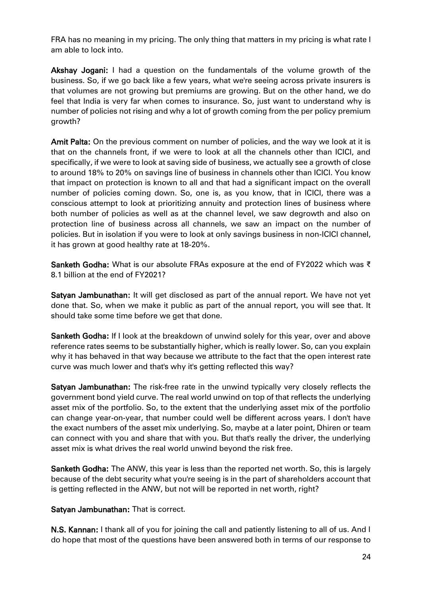FRA has no meaning in my pricing. The only thing that matters in my pricing is what rate I am able to lock into.

Akshay Jogani: I had a question on the fundamentals of the volume growth of the business. So, if we go back like a few years, what we're seeing across private insurers is that volumes are not growing but premiums are growing. But on the other hand, we do feel that India is very far when comes to insurance. So, just want to understand why is number of policies not rising and why a lot of growth coming from the per policy premium growth?

Amit Palta: On the previous comment on number of policies, and the way we look at it is that on the channels front, if we were to look at all the channels other than ICICI, and specifically, if we were to look at saving side of business, we actually see a growth of close to around 18% to 20% on savings line of business in channels other than ICICI. You know that impact on protection is known to all and that had a significant impact on the overall number of policies coming down. So, one is, as you know, that in ICICI, there was a conscious attempt to look at prioritizing annuity and protection lines of business where both number of policies as well as at the channel level, we saw degrowth and also on protection line of business across all channels, we saw an impact on the number of policies. But in isolation if you were to look at only savings business in non-ICICI channel, it has grown at good healthy rate at 18-20%.

Sanketh Godha: What is our absolute FRAs exposure at the end of FY2022 which was ₹ 8.1 billion at the end of FY2021?

Satyan Jambunathan: It will get disclosed as part of the annual report. We have not yet done that. So, when we make it public as part of the annual report, you will see that. It should take some time before we get that done.

Sanketh Godha: If I look at the breakdown of unwind solely for this year, over and above reference rates seems to be substantially higher, which is really lower. So, can you explain why it has behaved in that way because we attribute to the fact that the open interest rate curve was much lower and that's why it's getting reflected this way?

**Satyan Jambunathan:** The risk-free rate in the unwind typically very closely reflects the government bond yield curve. The real world unwind on top of that reflects the underlying asset mix of the portfolio. So, to the extent that the underlying asset mix of the portfolio can change year-on-year, that number could well be different across years. I don't have the exact numbers of the asset mix underlying. So, maybe at a later point, Dhiren or team can connect with you and share that with you. But that's really the driver, the underlying asset mix is what drives the real world unwind beyond the risk free.

Sanketh Godha: The ANW, this year is less than the reported net worth. So, this is largely because of the debt security what you're seeing is in the part of shareholders account that is getting reflected in the ANW, but not will be reported in net worth, right?

Satyan Jambunathan: That is correct.

N.S. Kannan: I thank all of you for joining the call and patiently listening to all of us. And I do hope that most of the questions have been answered both in terms of our response to